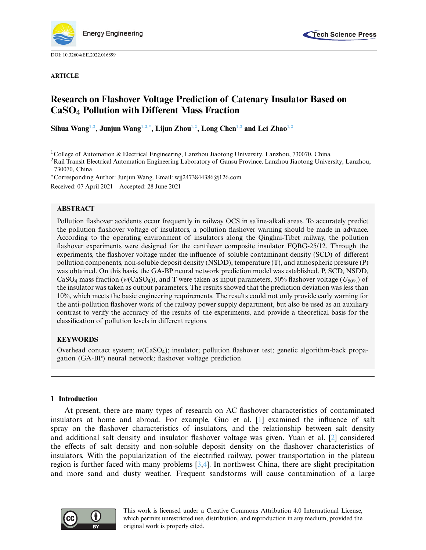

DOI: [10.32604/EE.2022.016899](http://dx.doi.org/10.32604/EE.2022.016899)



## **ARTICLE**

# **Research on Flashover Voltage Prediction of Catenary Insulator Based on CaSO**<sup>4</sup> **Pollution with Different Mass Fraction**

**Sihua Wan[g1,](#page-0-0)[2,](#page-0-1) Junjun Wan[g1](#page-0-0)[,2](#page-0-1)[,\\*,](#page-0-2) Lijun Zho[u1,](#page-0-0)[2,](#page-0-1) Long Che[n1](#page-0-0)[,2](#page-0-1) and Lei Zha[o1,](#page-0-0)[2](#page-0-1)**

<sup>1</sup>College of Automation & Electrical Engineering, Lanzhou Jiaotong University, Lanzhou, 730070, China

<span id="page-0-1"></span><span id="page-0-0"></span><sup>2</sup>Rail Transit Electrical Automation Engineering Laboratory of Gansu Province, Lanzhou Jiaotong University, Lanzhou, 730070, China

<span id="page-0-2"></span>∗Corresponding Author: Junjun Wang. Email: wjj2473844386@126.com

Received: 07 April 2021 Accepted: 28 June 2021

# **ABSTRACT**

Pollution flashover accidents occur frequently in railway OCS in saline-alkali areas. To accurately predict the pollution flashover voltage of insulators, a pollution flashover warning should be made in advance. According to the operating environment of insulators along the Qinghai-Tibet railway, the pollution flashover experiments were designed for the cantilever composite insulator FQBG-25/12. Through the experiments, the flashover voltage under the influence of soluble contaminant density (SCD) of different pollution components, non-soluble deposit density (NSDD), temperature (T), and atmospheric pressure (P) was obtained. On this basis, the GA-BP neural network prediction model was established. P, SCD, NSDD, CaSO4 mass fraction (*w*(CaSO4)), and T were taken as input parameters, 50% flashover voltage (*U*50%) of the insulator was taken as output parameters. The results showed that the prediction deviation was less than 10%, which meets the basic engineering requirements. The results could not only provide early warning for the anti-pollution flashover work of the railway power supply department, but also be used as an auxiliary contrast to verify the accuracy of the results of the experiments, and provide a theoretical basis for the classification of pollution levels in different regions.

## **KEYWORDS**

Overhead contact system; *w*(CaSO4); insulator; pollution flashover test; genetic algorithm-back propagation (GA-BP) neural network; flashover voltage prediction

## **1 Introduction**

At present, there are many types of research on AC flashover characteristics of contaminated insulators at home and abroad. For example, Guo et al. [\[1\]](#page-15-0) examined the influence of salt spray on the flashover characteristics of insulators, and the relationship between salt density and additional salt density and insulator flashover voltage was given. Yuan et al. [\[2](#page-15-1)] considered the effects of salt density and non-soluble deposit density on the flashover characteristics of insulators. With the popularization of the electrified railway, power transportation in the plateau region is further faced with many problems [\[3](#page-15-2)[,4\]](#page-15-3). In northwest China, there are slight precipitation and more sand and dusty weather. Frequent sandstorms will cause contamination of a large

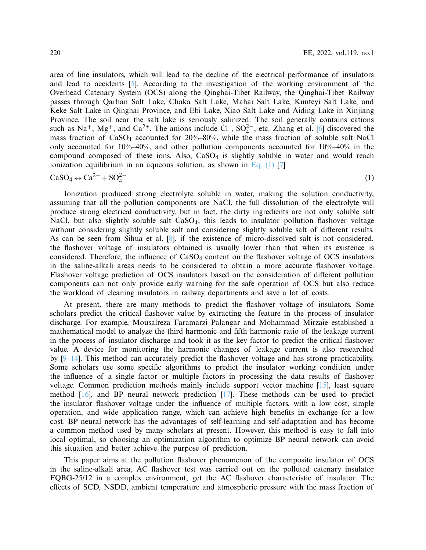area of line insulators, which will lead to the decline of the electrical performance of insulators and lead to accidents [\[5\]](#page-15-4). According to the investigation of the working environment of the Overhead Catenary System (OCS) along the Qinghai-Tibet Railway, the Qinghai-Tibet Railway passes through Qarhan Salt Lake, Chaka Salt Lake, Mahai Salt Lake, Kunteyi Salt Lake, and Keke Salt Lake in Qinghai Province, and Ebi Lake, Xiao Salt Lake and Aiding Lake in Xinjiang Province. The soil near the salt lake is seriously salinized. The soil generally contains cations such as Na<sup>+</sup>, Mg<sup>+</sup>, and Ca<sup>2+</sup>. The anions include Cl<sup>-</sup>, SO<sub>4</sub><sup>2</sup><sup>-</sup>, etc. Zhang et al. [\[6](#page-15-5)] discovered the mass fraction of CaSO4 accounted for 20%–80%, while the mass fraction of soluble salt NaCl only accounted for 10%–40%, and other pollution components accounted for 10%–40% in the compound composed of these ions. Also, CaSO4 is slightly soluble in water and would reach ionization equilibrium in an aqueous solution, as shown in Eq.  $(1)$  [\[7](#page-16-0)]

<span id="page-1-0"></span>
$$
\text{CaSO}_4 \leftrightarrow \text{Ca}^{2+} + \text{SO}_4^{2-} \tag{1}
$$

Ionization produced strong electrolyte soluble in water, making the solution conductivity, assuming that all the pollution components are NaCl, the full dissolution of the electrolyte will produce strong electrical conductivity. but in fact, the dirty ingredients are not only soluble salt NaCl, but also slightly soluble salt  $CaSO<sub>4</sub>$ , this leads to insulator pollution flashover voltage without considering slightly soluble salt and considering slightly soluble salt of different results. As can be seen from Sihua et al. [\[8](#page-16-1)], if the existence of micro-dissolved salt is not considered, the flashover voltage of insulators obtained is usually lower than that when its existence is considered. Therefore, the influence of CaSO4 content on the flashover voltage of OCS insulators in the saline-alkali areas needs to be considered to obtain a more accurate flashover voltage. Flashover voltage prediction of OCS insulators based on the consideration of different pollution components can not only provide early warning for the safe operation of OCS but also reduce the workload of cleaning insulators in railway departments and save a lot of costs.

At present, there are many methods to predict the flashover voltage of insulators. Some scholars predict the critical flashover value by extracting the feature in the process of insulator discharge. For example, Mousalreza Faramarzi Palangar and Mohammad Mirzaie established a mathematical model to analyze the third harmonic and fifth harmonic ratio of the leakage current in the process of insulator discharge and took it as the key factor to predict the critical flashover value. A device for monitoring the harmonic changes of leakage current is also researched by [\[9](#page-16-2)[–14\]](#page-16-3). This method can accurately predict the flashover voltage and has strong practicability. Some scholars use some specific algorithms to predict the insulator working condition under the influence of a single factor or multiple factors in processing the data results of flashover voltage. Common prediction methods mainly include support vector machine [\[15\]](#page-16-4), least square method  $[16]$ , and BP neural network prediction  $[17]$  $[17]$ . These methods can be used to predict the insulator flashover voltage under the influence of multiple factors, with a low cost, simple operation, and wide application range, which can achieve high benefits in exchange for a low cost. BP neural network has the advantages of self-learning and self-adaptation and has become a common method used by many scholars at present. However, this method is easy to fall into local optimal, so choosing an optimization algorithm to optimize BP neural network can avoid this situation and better achieve the purpose of prediction.

This paper aims at the pollution flashover phenomenon of the composite insulator of OCS in the saline-alkali area, AC flashover test was carried out on the polluted catenary insulator FQBG-25/12 in a complex environment, get the AC flashover characteristic of insulator. The effects of SCD, NSDD, ambient temperature and atmospheric pressure with the mass fraction of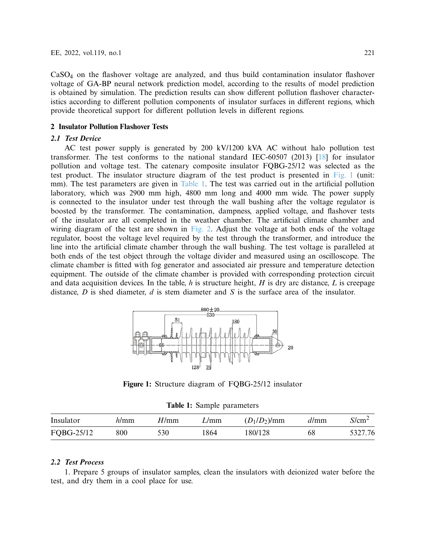CaSO4 on the flashover voltage are analyzed, and thus build contamination insulator flashover voltage of GA-BP neural network prediction model, according to the results of model prediction is obtained by simulation. The prediction results can show different pollution flashover characteristics according to different pollution components of insulator surfaces in different regions, which provide theoretical support for different pollution levels in different regions.

## **2 Insulator Pollution Flashover Tests**

# *2.1 Test Device*

AC test power supply is generated by 200 kV/1200 kVA AC without halo pollution test transformer. The test conforms to the national standard IEC-60507 (2013) [\[18\]](#page-16-7) for insulator pollution and voltage test. The catenary composite insulator FQBG-25/12 was selected as the test product. The insulator structure diagram of the test product is presented in [Fig. 1](#page-2-0) (unit: mm). The test parameters are given in [Table 1.](#page-2-1) The test was carried out in the artificial pollution laboratory, which was 2900 mm high, 4800 mm long and 4000 mm wide. The power supply is connected to the insulator under test through the wall bushing after the voltage regulator is boosted by the transformer. The contamination, dampness, applied voltage, and flashover tests of the insulator are all completed in the weather chamber. The artificial climate chamber and wiring diagram of the test are shown in [Fig. 2.](#page-3-0) Adjust the voltage at both ends of the voltage regulator, boost the voltage level required by the test through the transformer, and introduce the line into the artificial climate chamber through the wall bushing. The test voltage is paralleled at both ends of the test object through the voltage divider and measured using an oscilloscope. The climate chamber is fitted with fog generator and associated air pressure and temperature detection equipment. The outside of the climate chamber is provided with corresponding protection circuit and data acquisition devices. In the table, *h* is structure height, *H* is dry arc distance, *L* is creepage distance, *D* is shed diameter, *d* is stem diameter and *S* is the surface area of the insulator.



**Figure 1:** Structure diagram of FQBG-25/12 insulator

<span id="page-2-0"></span>**Table 1:** Sample parameters

<span id="page-2-1"></span>

| Insulator  | $\nu$ mm | H/mm | L/mm | $(D_1/D_2)$ /mm | d/mm | $S/cm^2$ |
|------------|----------|------|------|-----------------|------|----------|
| FQBG-25/12 | 800      | 530  | .864 | 180/128         | 68   | 5327.76  |

# *2.2 Test Process*

1. Prepare 5 groups of insulator samples, clean the insulators with deionized water before the test, and dry them in a cool place for use.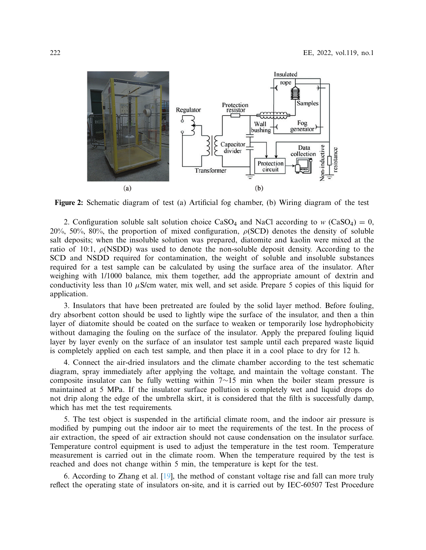

<span id="page-3-0"></span>**Figure 2:** Schematic diagram of test (a) Artificial fog chamber, (b) Wiring diagram of the test

2. Configuration soluble salt solution choice  $CaSO_4$  and NaCl according to *w* (CaSO<sub>4</sub>) = 0, 20%, 50%, 80%, the proportion of mixed configuration,  $\rho(SCD)$  denotes the density of soluble salt deposits; when the insoluble solution was prepared, diatomite and kaolin were mixed at the ratio of 10:1,  $\rho$ (NSDD) was used to denote the non-soluble deposit density. According to the SCD and NSDD required for contamination, the weight of soluble and insoluble substances required for a test sample can be calculated by using the surface area of the insulator. After weighing with 1/1000 balance, mix them together, add the appropriate amount of dextrin and conductivity less than 10  $\mu$ S/cm water, mix well, and set aside. Prepare 5 copies of this liquid for application.

3. Insulators that have been pretreated are fouled by the solid layer method. Before fouling, dry absorbent cotton should be used to lightly wipe the surface of the insulator, and then a thin layer of diatomite should be coated on the surface to weaken or temporarily lose hydrophobicity without damaging the fouling on the surface of the insulator. Apply the prepared fouling liquid layer by layer evenly on the surface of an insulator test sample until each prepared waste liquid is completely applied on each test sample, and then place it in a cool place to dry for 12 h.

4. Connect the air-dried insulators and the climate chamber according to the test schematic diagram, spray immediately after applying the voltage, and maintain the voltage constant. The composite insulator can be fully wetting within 7∼15 min when the boiler steam pressure is maintained at 5 MPa. If the insulator surface pollution is completely wet and liquid drops do not drip along the edge of the umbrella skirt, it is considered that the filth is successfully damp, which has met the test requirements.

5. The test object is suspended in the artificial climate room, and the indoor air pressure is modified by pumping out the indoor air to meet the requirements of the test. In the process of air extraction, the speed of air extraction should not cause condensation on the insulator surface. Temperature control equipment is used to adjust the temperature in the test room. Temperature measurement is carried out in the climate room. When the temperature required by the test is reached and does not change within 5 min, the temperature is kept for the test.

6. According to Zhang et al. [\[19](#page-16-8)], the method of constant voltage rise and fall can more truly reflect the operating state of insulators on-site, and it is carried out by IEC-60507 Test Procedure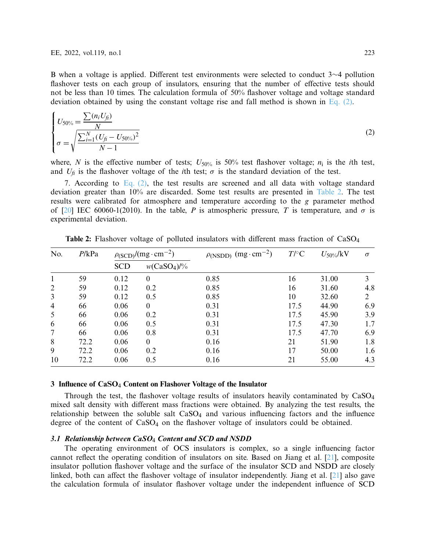B when a voltage is applied. Different test environments were selected to conduct 3∼4 pollution flashover tests on each group of insulators, ensuring that the number of effective tests should not be less than 10 times. The calculation formula of 50% flashover voltage and voltage standard deviation obtained by using the constant voltage rise and fall method is shown in [Eq. \(2\).](#page-4-0)

<span id="page-4-0"></span>
$$
\begin{cases}\nU_{50\%} = \frac{\sum (n_i U_{fi})}{N} \\
\sigma = \sqrt{\frac{\sum_{i=1}^{N} (U_{fi} - U_{50\%})^2}{N - 1}}\n\end{cases}
$$
\n(2)

where, *N* is the effective number of tests;  $U_{50\%}$  is 50% test flashover voltage;  $n_i$  is the *i*th test, and  $U_f$  is the flashover voltage of the *i*th test;  $\sigma$  is the standard deviation of the test.

7. According to [Eq. \(2\),](#page-4-0) the test results are screened and all data with voltage standard deviation greater than 10% are discarded. Some test results are presented in [Table 2.](#page-4-1) The test results were calibrated for atmosphere and temperature according to the *g* parameter method of  $[20]$  IEC 60060-1(2010). In the table, *P* is atmospheric pressure, *T* is temperature, and  $\sigma$  is experimental deviation.

| No.            | P/kPa | $\rho_{(SCD)}/(mg \cdot cm^{-2})$ |                        | $\rho_{(NSDD)}$ (mg·cm <sup>-2</sup> ) | $T$ /°C | $U_{50\%}/kV$ | $\sigma$       |
|----------------|-------|-----------------------------------|------------------------|----------------------------------------|---------|---------------|----------------|
|                |       | <b>SCD</b>                        | $w(CaSO4)/\frac{9}{6}$ |                                        |         |               |                |
| 1              | 59    | 0.12                              | $\theta$               | 0.85                                   | 16      | 31.00         | 3              |
| 2              | 59    | 0.12                              | 0.2                    | 0.85                                   | 16      | 31.60         | 4.8            |
| 3              | 59    | 0.12                              | 0.5                    | 0.85                                   | 10      | 32.60         | $\mathfrak{D}$ |
| $\overline{4}$ | 66    | 0.06                              | $\theta$               | 0.31                                   | 17.5    | 44.90         | 6.9            |
| 5              | 66    | 0.06                              | 0.2                    | 0.31                                   | 17.5    | 45.90         | 3.9            |
| 6              | 66    | 0.06                              | 0.5                    | 0.31                                   | 17.5    | 47.30         | 1.7            |
| 7              | 66    | 0.06                              | 0.8                    | 0.31                                   | 17.5    | 47.70         | 6.9            |
| 8              | 72.2  | 0.06                              | $\theta$               | 0.16                                   | 21      | 51.90         | 1.8            |
| 9              | 72.2  | 0.06                              | 0.2                    | 0.16                                   | 17      | 50.00         | 1.6            |
| 10             | 72.2  | 0.06                              | 0.5                    | 0.16                                   | 21      | 55.00         | 4.3            |

<span id="page-4-1"></span>**Table 2:** Flashover voltage of polluted insulators with different mass fraction of CaSO<sub>4</sub>

## <span id="page-4-2"></span>**3 Influence of CaSO**<sup>4</sup> **Content on Flashover Voltage of the Insulator**

Through the test, the flashover voltage results of insulators heavily contaminated by CaSO4 mixed salt density with different mass fractions were obtained. By analyzing the test results, the relationship between the soluble salt  $CaSO<sub>4</sub>$  and various influencing factors and the influence degree of the content of  $CaSO<sub>4</sub>$  on the flashover voltage of insulators could be obtained.

# *3.1 Relationship between CaSO*<sup>4</sup> *Content and SCD and NSDD*

The operating environment of OCS insulators is complex, so a single influencing factor cannot reflect the operating condition of insulators on site. Based on Jiang et al. [\[21\]](#page-16-10), composite insulator pollution flashover voltage and the surface of the insulator SCD and NSDD are closely linked, both can affect the flashover voltage of insulator independently. Jiang et al. [\[21\]](#page-16-10) also gave the calculation formula of insulator flashover voltage under the independent influence of SCD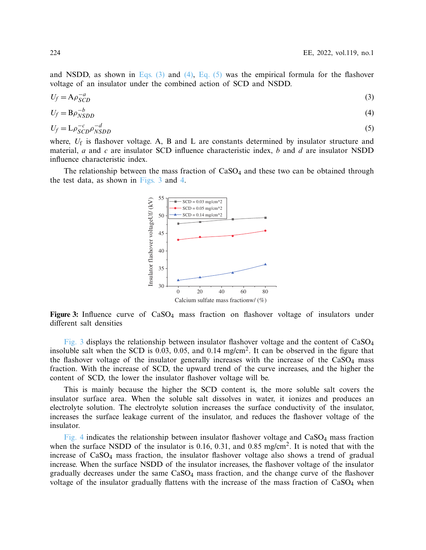and NSDD, as shown in Eqs.  $(3)$  and  $(4)$ , Eq.  $(5)$  was the empirical formula for the flashover voltage of an insulator under the combined action of SCD and NSDD.

$$
U_f = A \rho_{SCD}^{-a} \tag{3}
$$

$$
U_f = B\rho_{NSDD}^{-b} \tag{4}
$$

$$
U_f = \mathcal{L}\rho_{SCD}^{-c}\rho_{NSDD}^{-d} \tag{5}
$$

where,  $U_f$  is flashover voltage. A, B and L are constants determined by insulator structure and material, *a* and *c* are insulator SCD influence characteristic index, *b* and *d* are insulator NSDD influence characteristic index.

The relationship between the mass fraction of  $CaSO<sub>4</sub>$  and these two can be obtained through the test data, as shown in [Figs. 3](#page-5-3) and [4.](#page-6-0)

<span id="page-5-3"></span><span id="page-5-2"></span><span id="page-5-1"></span><span id="page-5-0"></span>

**Figure 3:** Influence curve of CaSO4 mass fraction on flashover voltage of insulators under different salt densities

[Fig. 3](#page-5-3) displays the relationship between insulator flashover voltage and the content of CaSO4 insoluble salt when the SCD is 0.03, 0.05, and 0.14 mg/cm2. It can be observed in the figure that the flashover voltage of the insulator generally increases with the increase of the  $CaSO<sub>4</sub>$  mass fraction. With the increase of SCD, the upward trend of the curve increases, and the higher the content of SCD, the lower the insulator flashover voltage will be.

This is mainly because the higher the SCD content is, the more soluble salt covers the insulator surface area. When the soluble salt dissolves in water, it ionizes and produces an electrolyte solution. The electrolyte solution increases the surface conductivity of the insulator, increases the surface leakage current of the insulator, and reduces the flashover voltage of the insulator.

[Fig. 4](#page-6-0) indicates the relationship between insulator flashover voltage and  $CaSO<sub>4</sub>$  mass fraction when the surface NSDD of the insulator is 0.16, 0.31, and 0.85 mg/cm<sup>2</sup>. It is noted that with the increase of CaSO4 mass fraction, the insulator flashover voltage also shows a trend of gradual increase. When the surface NSDD of the insulator increases, the flashover voltage of the insulator gradually decreases under the same CaSO4 mass fraction, and the change curve of the flashover voltage of the insulator gradually flattens with the increase of the mass fraction of  $CaSO<sub>4</sub>$  when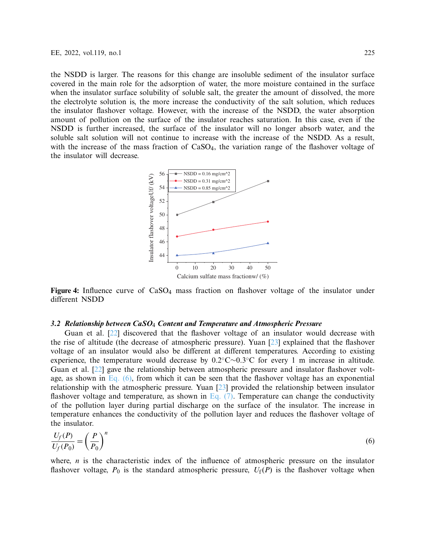the NSDD is larger. The reasons for this change are insoluble sediment of the insulator surface covered in the main role for the adsorption of water, the more moisture contained in the surface when the insulator surface solubility of soluble salt, the greater the amount of dissolved, the more the electrolyte solution is, the more increase the conductivity of the salt solution, which reduces the insulator flashover voltage. However, with the increase of the NSDD, the water absorption amount of pollution on the surface of the insulator reaches saturation. In this case, even if the NSDD is further increased, the surface of the insulator will no longer absorb water, and the soluble salt solution will not continue to increase with the increase of the NSDD. As a result, with the increase of the mass fraction of  $CaSO<sub>4</sub>$ , the variation range of the flashover voltage of the insulator will decrease.

<span id="page-6-0"></span>

**Figure 4:** Influence curve of CaSO<sub>4</sub> mass fraction on flashover voltage of the insulator under different NSDD

#### *3.2 Relationship between CaSO*<sup>4</sup> *Content and Temperature and Atmospheric Pressure*

Guan et al. [\[22\]](#page-16-11) discovered that the flashover voltage of an insulator would decrease with the rise of altitude (the decrease of atmospheric pressure). Yuan [\[23\]](#page-16-12) explained that the flashover voltage of an insulator would also be different at different temperatures. According to existing experience, the temperature would decrease by 0.2◦C∼0.3◦C for every 1 m increase in altitude. Guan et al. [\[22\]](#page-16-11) gave the relationship between atmospheric pressure and insulator flashover voltage, as shown in [Eq. \(6\),](#page-6-1) from which it can be seen that the flashover voltage has an exponential relationship with the atmospheric pressure. Yuan [\[23\]](#page-16-12) provided the relationship between insulator flashover voltage and temperature, as shown in Eq.  $(7)$ . Temperature can change the conductivity of the pollution layer during partial discharge on the surface of the insulator. The increase in temperature enhances the conductivity of the pollution layer and reduces the flashover voltage of the insulator.

<span id="page-6-1"></span>
$$
\frac{U_f(P)}{U_f(P_0)} = \left(\frac{P}{P_0}\right)^n\tag{6}
$$

where, *n* is the characteristic index of the influence of atmospheric pressure on the insulator flashover voltage,  $P_0$  is the standard atmospheric pressure,  $U_f(P)$  is the flashover voltage when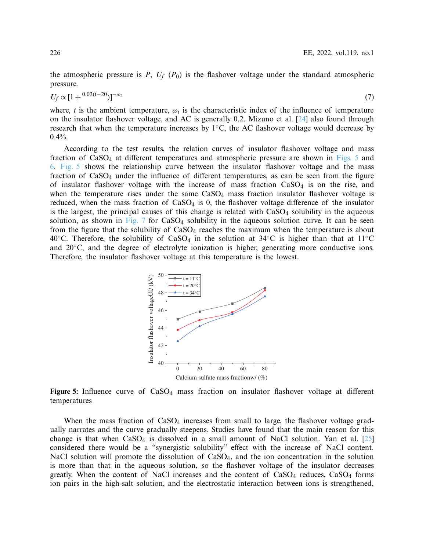<span id="page-7-0"></span>the atmospheric pressure is  $P$ ,  $U_f$  ( $P_0$ ) is the flashover voltage under the standard atmospheric pressure.

$$
U_f \propto [1 + {}^{0.02(t-20)}]^{-\omega_t}
$$
\n(7)

where, *t* is the ambient temperature,  $\omega_t$  is the characteristic index of the influence of temperature on the insulator flashover voltage, and AC is generally 0.2. Mizuno et al. [\[24\]](#page-16-13) also found through research that when the temperature increases by  $1°C$ , the AC flashover voltage would decrease by  $0.4%$ .

According to the test results, the relation curves of insulator flashover voltage and mass fraction of  $CaSO_4$  at different temperatures and atmospheric pressure are shown in [Figs. 5](#page-7-1) and [6.](#page-8-0) [Fig. 5](#page-7-1) shows the relationship curve between the insulator flashover voltage and the mass fraction of  $CaSO<sub>4</sub>$  under the influence of different temperatures, as can be seen from the figure of insulator flashover voltage with the increase of mass fraction  $CaSO<sub>4</sub>$  is on the rise, and when the temperature rises under the same  $CaSO<sub>4</sub>$  mass fraction insulator flashover voltage is reduced, when the mass fraction of  $CaSO<sub>4</sub>$  is 0, the flashover voltage difference of the insulator is the largest, the principal causes of this change is related with  $CaSO<sub>4</sub>$  solubility in the aqueous solution, as shown in [Fig. 7](#page-8-1) for  $CaSO_4$  solubility in the aqueous solution curve. It can be seen from the figure that the solubility of CaSO<sub>4</sub> reaches the maximum when the temperature is about 40<sup>°</sup>C. Therefore, the solubility of CaSO<sub>4</sub> in the solution at 34<sup>°</sup>C is higher than that at 11<sup>°</sup>C and 20◦C, and the degree of electrolyte ionization is higher, generating more conductive ions. Therefore, the insulator flashover voltage at this temperature is the lowest.

<span id="page-7-1"></span>

Figure 5: Influence curve of CaSO<sub>4</sub> mass fraction on insulator flashover voltage at different temperatures

When the mass fraction of  $CaSO<sub>4</sub>$  increases from small to large, the flashover voltage gradually narrates and the curve gradually steepens. Studies have found that the main reason for this change is that when  $CaSO_4$  is dissolved in a small amount of NaCl solution. Yan et al. [\[25\]](#page-17-0) considered there would be a "synergistic solubility" effect with the increase of NaCl content. NaCl solution will promote the dissolution of  $CaSO<sub>4</sub>$ , and the ion concentration in the solution is more than that in the aqueous solution, so the flashover voltage of the insulator decreases greatly. When the content of NaCl increases and the content of  $CaSO<sub>4</sub>$  reduces,  $CaSO<sub>4</sub>$  forms ion pairs in the high-salt solution, and the electrostatic interaction between ions is strengthened,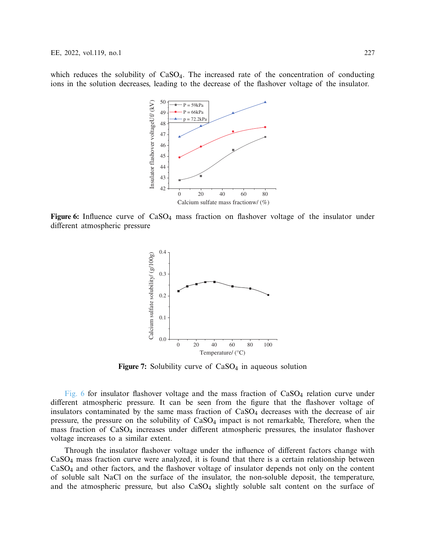which reduces the solubility of CaSO<sub>4</sub>. The increased rate of the concentration of conducting ions in the solution decreases, leading to the decrease of the flashover voltage of the insulator.



**Figure 6:** Influence curve of CaSO<sub>4</sub> mass fraction on flashover voltage of the insulator under different atmospheric pressure

<span id="page-8-0"></span>

<span id="page-8-1"></span>**Figure 7:** Solubility curve of CaSO<sub>4</sub> in aqueous solution

[Fig. 6](#page-8-0) for insulator flashover voltage and the mass fraction of  $CaSO<sub>4</sub>$  relation curve under different atmospheric pressure. It can be seen from the figure that the flashover voltage of insulators contaminated by the same mass fraction of  $CaSO<sub>4</sub>$  decreases with the decrease of air pressure, the pressure on the solubility of CaSO4 impact is not remarkable, Therefore, when the mass fraction of CaSO4 increases under different atmospheric pressures, the insulator flashover voltage increases to a similar extent.

Through the insulator flashover voltage under the influence of different factors change with CaSO4 mass fraction curve were analyzed, it is found that there is a certain relationship between CaSO4 and other factors, and the flashover voltage of insulator depends not only on the content of soluble salt NaCl on the surface of the insulator, the non-soluble deposit, the temperature, and the atmospheric pressure, but also  $CaSO<sub>4</sub>$  slightly soluble salt content on the surface of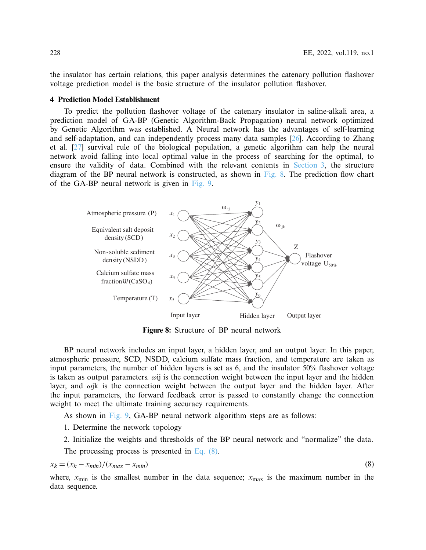the insulator has certain relations, this paper analysis determines the catenary pollution flashover voltage prediction model is the basic structure of the insulator pollution flashover.

#### **4 Prediction Model Establishment**

To predict the pollution flashover voltage of the catenary insulator in saline-alkali area, a prediction model of GA-BP (Genetic Algorithm-Back Propagation) neural network optimized by Genetic Algorithm was established. A Neural network has the advantages of self-learning and self-adaptation, and can independently process many data samples [\[26](#page-17-1)]. According to Zhang et al. [\[27](#page-17-2)] survival rule of the biological population, a genetic algorithm can help the neural network avoid falling into local optimal value in the process of searching for the optimal, to ensure the validity of data. Combined with the relevant contents in [Section 3,](#page-4-2) the structure diagram of the BP neural network is constructed, as shown in Fig.  $\&$ . The prediction flow chart of the GA-BP neural network is given in [Fig. 9.](#page-10-0)



<span id="page-9-1"></span><span id="page-9-0"></span>**Figure 8:** Structure of BP neural network

BP neural network includes an input layer, a hidden layer, and an output layer. In this paper, atmospheric pressure, SCD, NSDD, calcium sulfate mass fraction, and temperature are taken as input parameters, the number of hidden layers is set as 6, and the insulator 50% flashover voltage is taken as output parameters.  $\omega$ ij is the connection weight between the input layer and the hidden layer, and  $\omega$ jk is the connection weight between the output layer and the hidden layer. After the input parameters, the forward feedback error is passed to constantly change the connection weight to meet the ultimate training accuracy requirements.

As shown in [Fig. 9,](#page-10-0) GA-BP neural network algorithm steps are as follows:

1. Determine the network topology

2. Initialize the weights and thresholds of the BP neural network and "normalize" the data.

The processing process is presented in [Eq. \(8\).](#page-9-1)

$$
x_k = (x_k - x_{min})/(x_{max} - x_{min})
$$
\n(8)

where,  $x_{\text{min}}$  is the smallest number in the data sequence;  $x_{\text{max}}$  is the maximum number in the data sequence.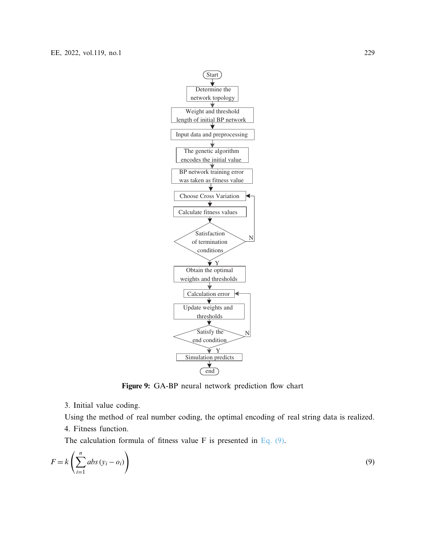

<span id="page-10-1"></span><span id="page-10-0"></span>**Figure 9:** GA-BP neural network prediction flow chart

3. Initial value coding.

Using the method of real number coding, the optimal encoding of real string data is realized. 4. Fitness function.

The calculation formula of fitness value F is presented in Eq.  $(9)$ .

$$
F = k \left( \sum_{i=1}^{n} abs \left( y_i - o_i \right) \right) \tag{9}
$$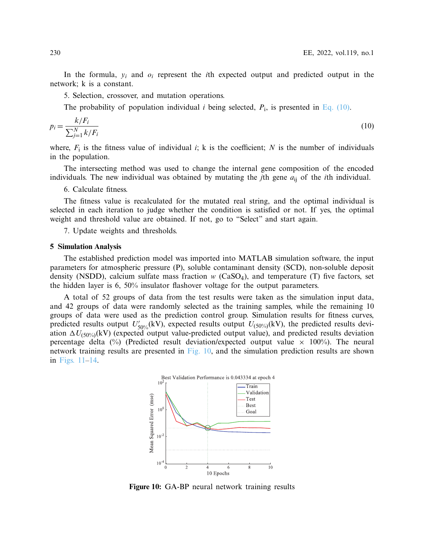In the formula, *yi* and *oi* represent the *i*th expected output and predicted output in the network; k is a constant.

5. Selection, crossover, and mutation operations.

<span id="page-11-0"></span>The probability of population individual *i* being selected,  $P_i$ , is presented in [Eq. \(10\).](#page-11-0)

$$
p_i = \frac{k/F_i}{\sum_{j=1}^{N} k/F_i} \tag{10}
$$

where,  $F_i$  is the fitness value of individual *i*; k is the coefficient; N is the number of individuals in the population.

The intersecting method was used to change the internal gene composition of the encoded individuals. The new individual was obtained by mutating the *j*th gene *a*ij of the *i*th individual.

6. Calculate fitness.

The fitness value is recalculated for the mutated real string, and the optimal individual is selected in each iteration to judge whether the condition is satisfied or not. If yes, the optimal weight and threshold value are obtained. If not, go to "Select" and start again.

7. Update weights and thresholds.

#### **5 Simulation Analysis**

The established prediction model was imported into MATLAB simulation software, the input parameters for atmospheric pressure (P), soluble contaminant density (SCD), non-soluble deposit density (NSDD), calcium sulfate mass fraction *w* (CaSO4), and temperature (T) five factors, set the hidden layer is 6, 50% insulator flashover voltage for the output parameters.

A total of 52 groups of data from the test results were taken as the simulation input data, and 42 groups of data were randomly selected as the training samples, while the remaining 10 groups of data were used as the prediction control group. Simulation results for fitness curves, predicted results output  $U'_{50\%}(\text{kV})$ , expected results output  $U_{(50\%)}(\text{kV})$ , the predicted results deviation  $\Delta U_{(50\%)}$ (kV) (expected output value-predicted output value), and predicted results deviation percentage delta (%) (Predicted result deviation/expected output value  $\times$  100%). The neural network training results are presented in [Fig. 10,](#page-11-1) and the simulation prediction results are shown in [Figs. 11–](#page-12-0)[14.](#page-13-0)



<span id="page-11-1"></span>**Figure 10:** GA-BP neural network training results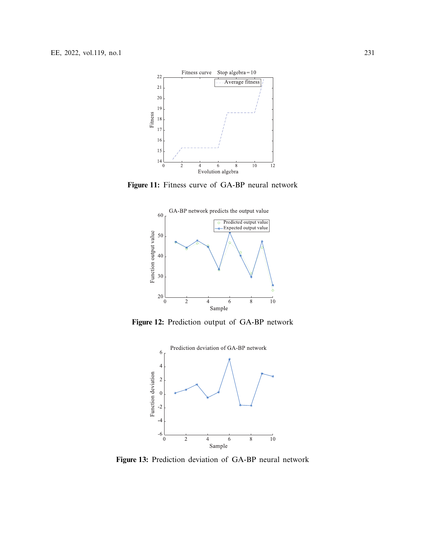

**Figure 11:** Fitness curve of GA-BP neural network

<span id="page-12-0"></span>

**Figure 12:** Prediction output of GA-BP network

<span id="page-12-1"></span>

<span id="page-12-2"></span>**Figure 13:** Prediction deviation of GA-BP neural network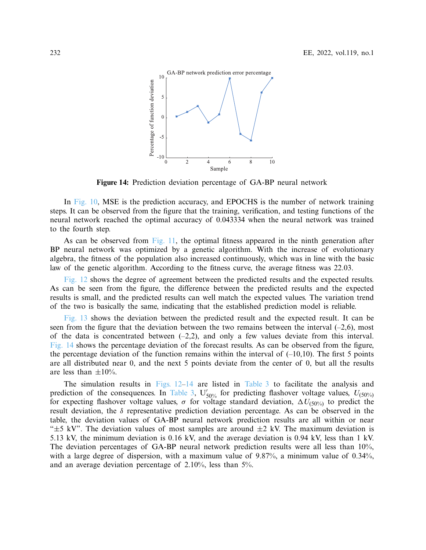<span id="page-13-0"></span>

**Figure 14:** Prediction deviation percentage of GA-BP neural network

In [Fig. 10,](#page-11-1) MSE is the prediction accuracy, and EPOCHS is the number of network training steps. It can be observed from the figure that the training, verification, and testing functions of the neural network reached the optimal accuracy of 0.043334 when the neural network was trained to the fourth step.

As can be observed from [Fig. 11,](#page-12-0) the optimal fitness appeared in the ninth generation after BP neural network was optimized by a genetic algorithm. With the increase of evolutionary algebra, the fitness of the population also increased continuously, which was in line with the basic law of the genetic algorithm. According to the fitness curve, the average fitness was 22.03.

[Fig. 12](#page-12-1) shows the degree of agreement between the predicted results and the expected results. As can be seen from the figure, the difference between the predicted results and the expected results is small, and the predicted results can well match the expected values. The variation trend of the two is basically the same, indicating that the established prediction model is reliable.

[Fig. 13](#page-12-2) shows the deviation between the predicted result and the expected result. It can be seen from the figure that the deviation between the two remains between the interval  $(-2,6)$ , most of the data is concentrated between  $(-2,2)$ , and only a few values deviate from this interval. [Fig. 14](#page-13-0) shows the percentage deviation of the forecast results. As can be observed from the figure, the percentage deviation of the function remains within the interval of  $(-10,10)$ . The first 5 points are all distributed near 0, and the next 5 points deviate from the center of 0, but all the results are less than  $\pm 10\%$ .

The simulation results in Figs.  $12-14$  are listed in [Table 3](#page-14-0) to facilitate the analysis and prediction of the consequences. In [Table 3,](#page-14-0)  $U'_{50\%}$  for predicting flashover voltage values,  $U_{(50\%)}$ for expecting flashover voltage values,  $\sigma$  for voltage standard deviation,  $\Delta U_{(50\%)}$  to predict the result deviation, the  $\delta$  representative prediction deviation percentage. As can be observed in the table, the deviation values of GA-BP neural network prediction results are all within or near " $\pm$ 5 kV". The deviation values of most samples are around  $\pm$ 2 kV. The maximum deviation is 5.13 kV, the minimum deviation is 0.16 kV, and the average deviation is 0.94 kV, less than 1 kV. The deviation percentages of GA-BP neural network prediction results were all less than 10%, with a large degree of dispersion, with a maximum value of 9.87%, a minimum value of 0.34%, and an average deviation percentage of 2.10%, less than 5%.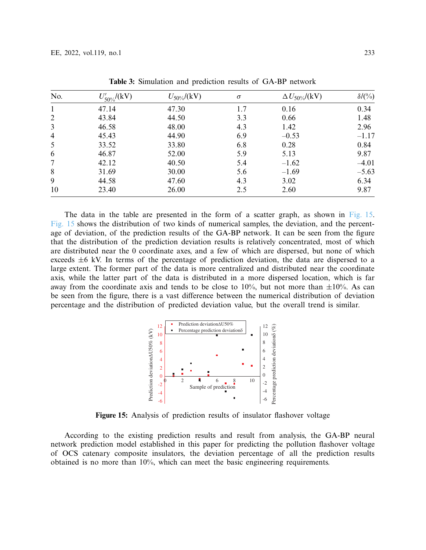<span id="page-14-0"></span>

| No.            | $U'_{50\%}/({\rm kV})$ | $U_{50\%}/({\rm kV})$ | $\sigma$ | $\Delta U_{50\%}/({\rm kV})$ | $\delta/(0\%)$ |
|----------------|------------------------|-----------------------|----------|------------------------------|----------------|
|                | 47.14                  | 47.30                 | 1.7      | 0.16                         | 0.34           |
| $\overline{2}$ | 43.84                  | 44.50                 | 3.3      | 0.66                         | 1.48           |
| 3              | 46.58                  | 48.00                 | 4.3      | 1.42                         | 2.96           |
| $\overline{4}$ | 45.43                  | 44.90                 | 6.9      | $-0.53$                      | $-1.17$        |
| 5              | 33.52                  | 33.80                 | 6.8      | 0.28                         | 0.84           |
| 6              | 46.87                  | 52.00                 | 5.9      | 5.13                         | 9.87           |
| 7              | 42.12                  | 40.50                 | 5.4      | $-1.62$                      | $-4.01$        |
| 8              | 31.69                  | 30.00                 | 5.6      | $-1.69$                      | $-5.63$        |
| 9              | 44.58                  | 47.60                 | 4.3      | 3.02                         | 6.34           |
| 10             | 23.40                  | 26.00                 | 2.5      | 2.60                         | 9.87           |

**Table 3:** Simulation and prediction results of GA-BP network

The data in the table are presented in the form of a scatter graph, as shown in [Fig. 15.](#page-14-1) [Fig. 15](#page-14-1) shows the distribution of two kinds of numerical samples, the deviation, and the percentage of deviation, of the prediction results of the GA-BP network. It can be seen from the figure that the distribution of the prediction deviation results is relatively concentrated, most of which are distributed near the 0 coordinate axes, and a few of which are dispersed, but none of which exceeds  $\pm 6$  kV. In terms of the percentage of prediction deviation, the data are dispersed to a large extent. The former part of the data is more centralized and distributed near the coordinate axis, while the latter part of the data is distributed in a more dispersed location, which is far away from the coordinate axis and tends to be close to  $10\%$ , but not more than  $\pm 10\%$ . As can be seen from the figure, there is a vast difference between the numerical distribution of deviation percentage and the distribution of predicted deviation value, but the overall trend is similar.

<span id="page-14-1"></span>

**Figure 15:** Analysis of prediction results of insulator flashover voltage

According to the existing prediction results and result from analysis, the GA-BP neural network prediction model established in this paper for predicting the pollution flashover voltage of OCS catenary composite insulators, the deviation percentage of all the prediction results obtained is no more than 10%, which can meet the basic engineering requirements.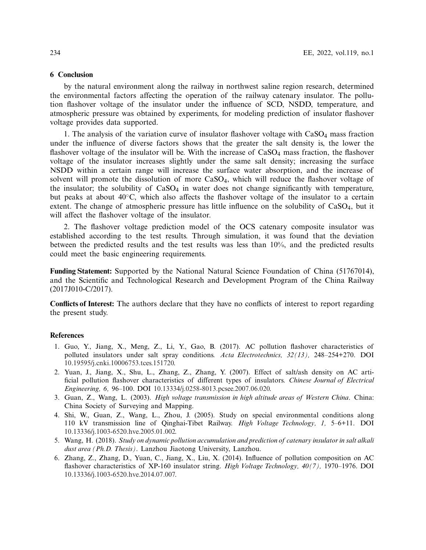#### **6 Conclusion**

by the natural environment along the railway in northwest saline region research, determined the environmental factors affecting the operation of the railway catenary insulator. The pollution flashover voltage of the insulator under the influence of SCD, NSDD, temperature, and atmospheric pressure was obtained by experiments, for modeling prediction of insulator flashover voltage provides data supported.

1. The analysis of the variation curve of insulator flashover voltage with  $CaSO<sub>4</sub>$  mass fraction under the influence of diverse factors shows that the greater the salt density is, the lower the flashover voltage of the insulator will be. With the increase of  $CaSO<sub>4</sub>$  mass fraction, the flashover voltage of the insulator increases slightly under the same salt density; increasing the surface NSDD within a certain range will increase the surface water absorption, and the increase of solvent will promote the dissolution of more  $CaSO<sub>4</sub>$ , which will reduce the flashover voltage of the insulator; the solubility of  $CaSO<sub>4</sub>$  in water does not change significantly with temperature, but peaks at about 40◦C, which also affects the flashover voltage of the insulator to a certain extent. The change of atmospheric pressure has little influence on the solubility of CaSO<sub>4</sub>, but it will affect the flashover voltage of the insulator.

2. The flashover voltage prediction model of the OCS catenary composite insulator was established according to the test results. Through simulation, it was found that the deviation between the predicted results and the test results was less than 10%, and the predicted results could meet the basic engineering requirements.

**Funding Statement:** Supported by the National Natural Science Foundation of China (51767014), and the Scientific and Technological Research and Development Program of the China Railway (2017J010-C/2017).

**Conflicts of Interest:** The authors declare that they have no conflicts of interest to report regarding the present study.

#### **References**

- <span id="page-15-0"></span>1. Guo, Y., Jiang, X., Meng, Z., Li, Y., Gao, B. (2017). AC pollution flashover characteristics of polluted insulators under salt spray conditions. *Acta Electrotechnics, 32(13),* 248–254+270. DOI [10.19595/j.cnki.10006753.tces.151720.](http://dx.doi.org/10.19595/j.cnki.10006753.tces.151720)
- <span id="page-15-1"></span>2. Yuan, J., Jiang, X., Shu, L., Zhang, Z., Zhang, Y. (2007). Effect of salt/ash density on AC artificial pollution flashover characteristics of different types of insulators. *Chinese Journal of Electrical Engineering, 6,* 96–100. DOI [10.13334/j.0258-8013.pcsee.2007.06.020.](http://dx.doi.org/10.13334/j.0258-8013.pcsee.2007.06.020)
- <span id="page-15-2"></span>3. Guan, Z., Wang, L. (2003). *High voltage transmission in high altitude areas of Western China*. China: China Society of Surveying and Mapping.
- <span id="page-15-3"></span>4. Shi, W., Guan, Z., Wang, L., Zhou, J. (2005). Study on special environmental conditions along 110 kV transmission line of Qinghai-Tibet Railway. *High Voltage Technology, 1,* 5–6+11. DOI [10.13336/j.1003-6520.hve.2005.01.002.](http://dx.doi.org/10.13336/j.1003-6520.hve.2005.01.002)
- <span id="page-15-4"></span>5. Wang, H. (2018). *Study on dynamic pollution accumulation and prediction of catenary insulator in salt alkali dust area (Ph.D. Thesis)*. Lanzhou Jiaotong University, Lanzhou.
- <span id="page-15-5"></span>6. Zhang, Z., Zhang, D., Yuan, C., Jiang, X., Liu, X. (2014). Influence of pollution composition on AC flashover characteristics of XP-160 insulator string. *High Voltage Technology, 40(7),* 1970–1976. DOI [10.13336/j.1003-6520.hve.2014.07.007.](http://dx.doi.org/10.13336/j.1003-6520.hve.2014.07.007)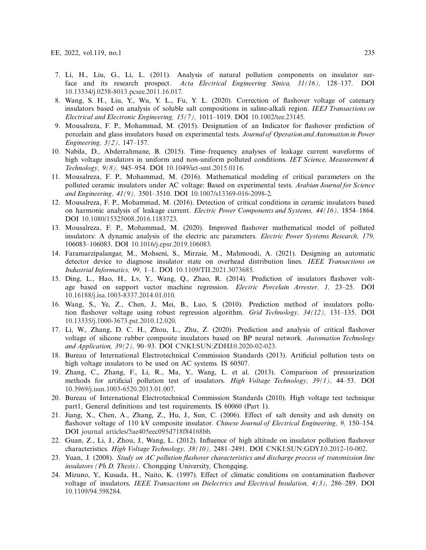- <span id="page-16-0"></span>7. Li, H., Liu, G., Li, L. (2011). Analysis of natural pollution components on insulator surface and its research prospect. *Acta Electrical Engineering Sinica, 31(16),* 128–137. DOI [10.13334/j.0258-8013.pcsee.2011.16.017.](http://dx.doi.org/10.13334/j.0258-8013.pcsee.2011.16.017)
- <span id="page-16-1"></span>8. Wang, S. H., Liu, Y., Wu, Y. L., Fu, Y. L. (2020). Correction of flashover voltage of catenary insulators based on analysis of soluble salt compositions in saline-alkali region. *IEEJ Transactions on Electrical and Electronic Engineering, 15(7),* 1011–1019. DOI [10.1002/tee.23145.](http://dx.doi.org/10.1002/tee.23145)
- <span id="page-16-2"></span>9. Mousalreza, F. P., Mohammad, M. (2015). Designation of an Indicator for flashover prediction of porcelain and glass insulators based on experimental tests. *Journal of Operation and Automation in Power Engineering, 3(2),* 147–157.
- 10. Nabila, D., Abderrahmane, B. (2015). Time–frequency analyses of leakage current waveforms of high voltage insulators in uniform and non-uniform polluted conditions. *IET Science, Measurement & Technology, 9(8),* 945–954. DOI [10.1049/iet-smt.2015.0116.](http://dx.doi.org/10.1049/iet-smt.2015.0116)
- 11. Mousalreza, F. P., Mohammad, M. (2016). Mathematical modeling of critical parameters on the polluted ceramic insulators under AC voltage: Based on experimental tests. *Arabian Journal for Science and Engineering, 41(9),* 3501–3510. DOI [10.1007/s13369-016-2098-2.](http://dx.doi.org/10.1007/s13369-016-2098-2)
- 12. Mousalreza, F. P., Mohammad, M. (2016). Detection of critical conditions in ceramic insulators based on harmonic analysis of leakage current. *Electric Power Components and Systems, 44(16),* 1854–1864. DOI [10.1080/15325008.2016.1183723.](http://dx.doi.org/10.1080/15325008.2016.1183723)
- 13. Mousalreza, F. P., Mohammad, M. (2020). Improved flashover mathematical model of polluted insulators: A dynamic analysis of the electric arc parameters. *Electric Power Systems Research, 179,* 106083–106083. DOI [10.1016/j.epsr.2019.106083.](http://dx.doi.org/10.1016/j.epsr.2019.106083)
- <span id="page-16-3"></span>14. Faramarzipalangar, M., Mohseni, S., Mirzaie, M., Mahmoudi, A. (2021). Designing an automatic detector device to diagnose insulator state on overhead distribution lines. *IEEE Transactions on Industrial Informatics, 99,* 1–1. DOI [10.1109/TII.2021.3073685.](http://dx.doi.org/10.1109/TII.2021.3073685)
- <span id="page-16-4"></span>15. Ding, L., Hao, H., Lv, Y., Wang, Q., Zhao, R. (2014). Prediction of insulators flashover voltage based on support vector machine regression. *Electric Porcelain Arrester, 1,* 23–25. DOI [10.16188/j.isa.1003-8337.2014.01.010.](http://dx.doi.org/10.16188/j.isa.1003-8337.2014.01.010)
- <span id="page-16-5"></span>16. Wang, S., Ye, Z., Chen, J., Mei, B., Luo, S. (2010). Prediction method of insulators pollution flashover voltage using robust regression algorithm. *Grid Technology, 34(12),* 131–135. DOI [10.13335/j.1000-3673.pst.2010.12.020.](http://dx.doi.org/10.13335/j.1000-3673.pst.2010.12.020)
- <span id="page-16-6"></span>17. Li, W., Zhang, D. C. H., Zhou, L., Zhu, Z. (2020). Prediction and analysis of critical flashover voltage of silicone rubber composite insulators based on BP neural network. *Automation Technology and Application, 39(2),* 90–93. DOI [CNKI:SUN:ZDHJ.0.2020-02-023.](http://dx.doi.org/CNKI:SUN:ZDHJ.0.2020-02-023)
- <span id="page-16-7"></span>18. Bureau of International Electrotechnical Commission Standards (2013). Artificial pollution tests on high voltage insulators to be used on AC systems. IS 60507.
- <span id="page-16-8"></span>19. Zhang, C., Zhang, F., Li, R., Ma, Y., Wang, L. et al. (2013). Comparison of pressurization methods for artificial pollution test of insulators. *High Voltage Technology, 39(1),* 44–53. DOI [10.3969/j.issn.1003-6520.2013.01.007.](http://dx.doi.org/10.3969/j.issn.1003-6520.2013.01.007)
- <span id="page-16-9"></span>20. Bureau of International Electrotechnical Commission Standards (2010). High voltage test technique part1, General definitions and test requirements. IS 60060 (Part 1).
- <span id="page-16-10"></span>21. Jiang, X., Chen, A., Zhang, Z., Hu, J., Sun, C. (2006). Effect of salt density and ash density on flashover voltage of 110 kV composite insulator. *Chinese Journal of Electrical Engineering, 9,* 150–154. DOI [journal articles/5ae405eec095d718f84168bb.](http://dx.doi.org/journal articles/5ae405eec095d718f84168bb)
- <span id="page-16-11"></span>22. Guan, Z., Li, J., Zhou, J., Wang, L. (2012). Influence of high altitude on insulator pollution flashover characteristics. *High Voltage Technology, 38(10),* 2481–2491. DOI [CNKI:SUN:GDYJ.0.2012-10-002.](http://dx.doi.org/CNKI:SUN:GDYJ.0.2012-10-002)
- <span id="page-16-12"></span>23. Yuan, J. (2008). *Study on AC pollution flashover characteristics and discharge process of transmission line insulators (Ph.D. Thesis)*. Chongqing University, Chongqing.
- <span id="page-16-13"></span>24. Mizuno, Y., Kusada, H., Naito, K. (1997). Effect of climatic conditions on contamination flashover voltage of insulators. *IEEE Transactions on Dielectrics and Electrical Insulation, 4(3),* 286–289. DOI [10.1109/94.598284.](http://dx.doi.org/10.1109/94.598284)